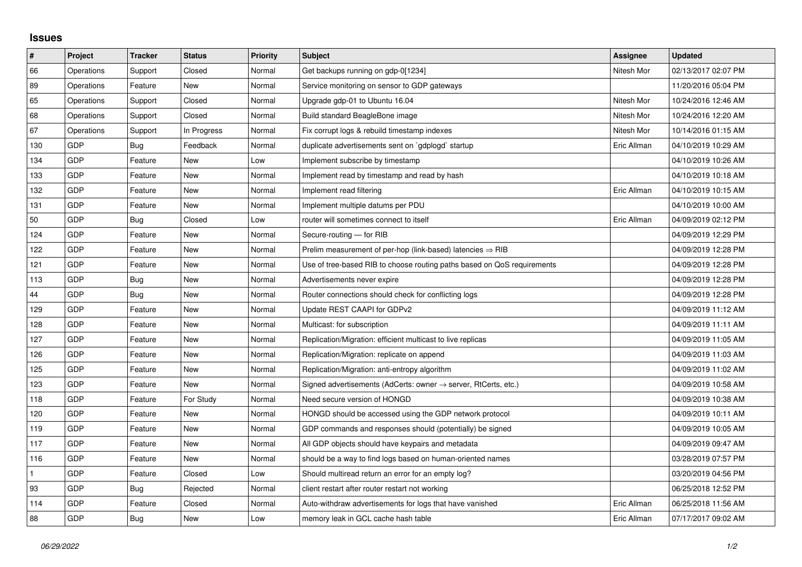## **Issues**

| $\vert$ #    | Project    | <b>Tracker</b> | <b>Status</b> | <b>Priority</b> | <b>Subject</b>                                                             | Assignee    | <b>Updated</b>      |
|--------------|------------|----------------|---------------|-----------------|----------------------------------------------------------------------------|-------------|---------------------|
| 66           | Operations | Support        | Closed        | Normal          | Get backups running on gdp-0[1234]                                         | Nitesh Mor  | 02/13/2017 02:07 PM |
| 89           | Operations | Feature        | New           | Normal          | Service monitoring on sensor to GDP gateways                               |             | 11/20/2016 05:04 PM |
| 65           | Operations | Support        | Closed        | Normal          | Upgrade gdp-01 to Ubuntu 16.04                                             | Nitesh Mor  | 10/24/2016 12:46 AM |
| 68           | Operations | Support        | Closed        | Normal          | Build standard BeagleBone image                                            | Nitesh Mor  | 10/24/2016 12:20 AM |
| 67           | Operations | Support        | In Progress   | Normal          | Fix corrupt logs & rebuild timestamp indexes                               | Nitesh Mor  | 10/14/2016 01:15 AM |
| 130          | <b>GDP</b> | Bug            | Feedback      | Normal          | duplicate advertisements sent on `gdplogd` startup                         | Eric Allman | 04/10/2019 10:29 AM |
| 134          | <b>GDP</b> | Feature        | New           | Low             | Implement subscribe by timestamp                                           |             | 04/10/2019 10:26 AM |
| 133          | <b>GDP</b> | Feature        | New           | Normal          | Implement read by timestamp and read by hash                               |             | 04/10/2019 10:18 AM |
| 132          | <b>GDP</b> | Feature        | New           | Normal          | Implement read filtering                                                   | Eric Allman | 04/10/2019 10:15 AM |
| 131          | <b>GDP</b> | Feature        | New           | Normal          | Implement multiple datums per PDU                                          |             | 04/10/2019 10:00 AM |
| 50           | <b>GDP</b> | Bug            | Closed        | Low             | router will sometimes connect to itself                                    | Eric Allman | 04/09/2019 02:12 PM |
| 124          | GDP        | Feature        | New           | Normal          | Secure-routing - for RIB                                                   |             | 04/09/2019 12:29 PM |
| 122          | <b>GDP</b> | Feature        | <b>New</b>    | Normal          | Prelim measurement of per-hop (link-based) latencies $\Rightarrow$ RIB     |             | 04/09/2019 12:28 PM |
| 121          | <b>GDP</b> | Feature        | New           | Normal          | Use of tree-based RIB to choose routing paths based on QoS requirements    |             | 04/09/2019 12:28 PM |
| 113          | <b>GDP</b> | Bug            | New           | Normal          | Advertisements never expire                                                |             | 04/09/2019 12:28 PM |
| 44           | <b>GDP</b> | <b>Bug</b>     | <b>New</b>    | Normal          | Router connections should check for conflicting logs                       |             | 04/09/2019 12:28 PM |
| 129          | <b>GDP</b> | Feature        | New           | Normal          | Update REST CAAPI for GDPv2                                                |             | 04/09/2019 11:12 AM |
| 128          | <b>GDP</b> | Feature        | New           | Normal          | Multicast: for subscription                                                |             | 04/09/2019 11:11 AM |
| 127          | <b>GDP</b> | Feature        | <b>New</b>    | Normal          | Replication/Migration: efficient multicast to live replicas                |             | 04/09/2019 11:05 AM |
| 126          | GDP        | Feature        | New           | Normal          | Replication/Migration: replicate on append                                 |             | 04/09/2019 11:03 AM |
| 125          | <b>GDP</b> | Feature        | New           | Normal          | Replication/Migration: anti-entropy algorithm                              |             | 04/09/2019 11:02 AM |
| 123          | <b>GDP</b> | Feature        | New           | Normal          | Signed advertisements (AdCerts: owner $\rightarrow$ server, RtCerts, etc.) |             | 04/09/2019 10:58 AM |
| 118          | GDP        | Feature        | For Study     | Normal          | Need secure version of HONGD                                               |             | 04/09/2019 10:38 AM |
| 120          | GDP        | Feature        | New           | Normal          | HONGD should be accessed using the GDP network protocol                    |             | 04/09/2019 10:11 AM |
| 119          | <b>GDP</b> | Feature        | <b>New</b>    | Normal          | GDP commands and responses should (potentially) be signed                  |             | 04/09/2019 10:05 AM |
| 117          | GDP        | Feature        | New           | Normal          | All GDP objects should have keypairs and metadata                          |             | 04/09/2019 09:47 AM |
| 116          | <b>GDP</b> | Feature        | New           | Normal          | should be a way to find logs based on human-oriented names                 |             | 03/28/2019 07:57 PM |
| $\mathbf{1}$ | <b>GDP</b> | Feature        | Closed        | Low             | Should multiread return an error for an empty log?                         |             | 03/20/2019 04:56 PM |
| 93           | <b>GDP</b> | Bug            | Rejected      | Normal          | client restart after router restart not working                            |             | 06/25/2018 12:52 PM |
| 114          | GDP        | Feature        | Closed        | Normal          | Auto-withdraw advertisements for logs that have vanished                   | Eric Allman | 06/25/2018 11:56 AM |
| 88           | GDP        | <b>Bug</b>     | <b>New</b>    | Low             | memory leak in GCL cache hash table                                        | Eric Allman | 07/17/2017 09:02 AM |